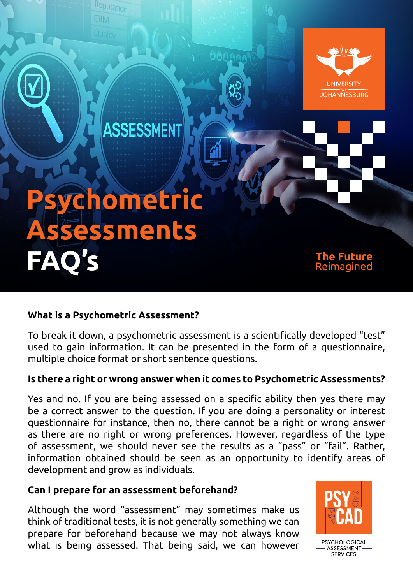

## **What is a Psychometric Assessment?**

To break it down, a psychometric assessment is a scientifically developed "test" used to gain information. It can be presented in the form of a questionnaire, multiple choice format or short sentence questions.

## **Is there a right or wrong answer when it comes to Psychometric Assessments?**

Yes and no. If you are being assessed on a specific ability then yes there may be a correct answer to the question. If you are doing a personality or interest questionnaire for instance, then no, there cannot be a right or wrong answer as there are no right or wrong preferences. However, regardless of the type of assessment, we should never see the results as a "pass" or "fail". Rather, information obtained should be seen as an opportunity to identify areas of development and grow as individuals.

## **Can I prepare for an assessment beforehand?**

Although the word "assessment" may sometimes make us think of traditional tests, it is not generally something we can prepare for beforehand because we may not always know what is being assessed. That being said, we can however



PSYCHOLOGICAL **ASSESSMENT** SERVICES